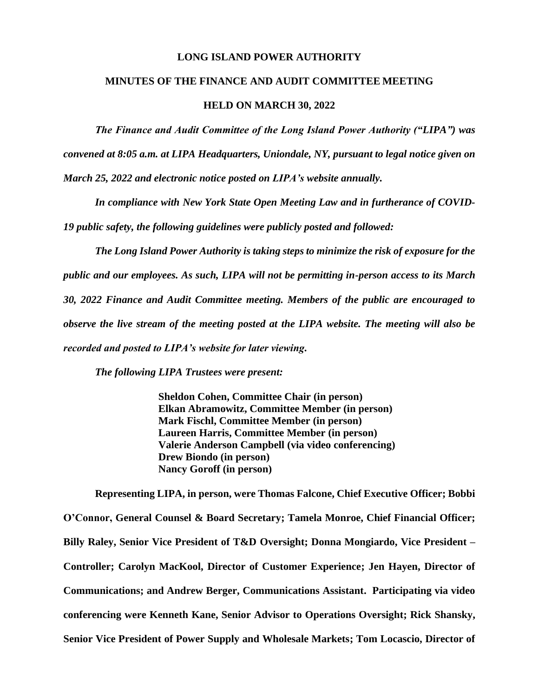### **LONG ISLAND POWER AUTHORITY**

## **MINUTES OF THE FINANCE AND AUDIT COMMITTEE MEETING**

#### **HELD ON MARCH 30, 2022**

*The Finance and Audit Committee of the Long Island Power Authority ("LIPA") was convened at 8:05 a.m. at LIPA Headquarters, Uniondale, NY, pursuant to legal notice given on March 25, 2022 and electronic notice posted on LIPA's website annually.* 

*In compliance with New York State Open Meeting Law and in furtherance of COVID-19 public safety, the following guidelines were publicly posted and followed:*

*The Long Island Power Authority is taking steps to minimize the risk of exposure for the public and our employees. As such, LIPA will not be permitting in-person access to its March 30, 2022 Finance and Audit Committee meeting. Members of the public are encouraged to observe the live stream of the meeting posted at the LIPA website. The meeting will also be recorded and posted to LIPA's website for later viewing.*

*The following LIPA Trustees were present:*

**Sheldon Cohen, Committee Chair (in person) Elkan Abramowitz, Committee Member (in person) Mark Fischl, Committee Member (in person) Laureen Harris, Committee Member (in person) Valerie Anderson Campbell (via video conferencing) Drew Biondo (in person) Nancy Goroff (in person)**

**Representing LIPA, in person, were Thomas Falcone, Chief Executive Officer; Bobbi O'Connor, General Counsel & Board Secretary; Tamela Monroe, Chief Financial Officer; Billy Raley, Senior Vice President of T&D Oversight; Donna Mongiardo, Vice President – Controller; Carolyn MacKool, Director of Customer Experience; Jen Hayen, Director of Communications; and Andrew Berger, Communications Assistant. Participating via video conferencing were Kenneth Kane, Senior Advisor to Operations Oversight; Rick Shansky, Senior Vice President of Power Supply and Wholesale Markets; Tom Locascio, Director of**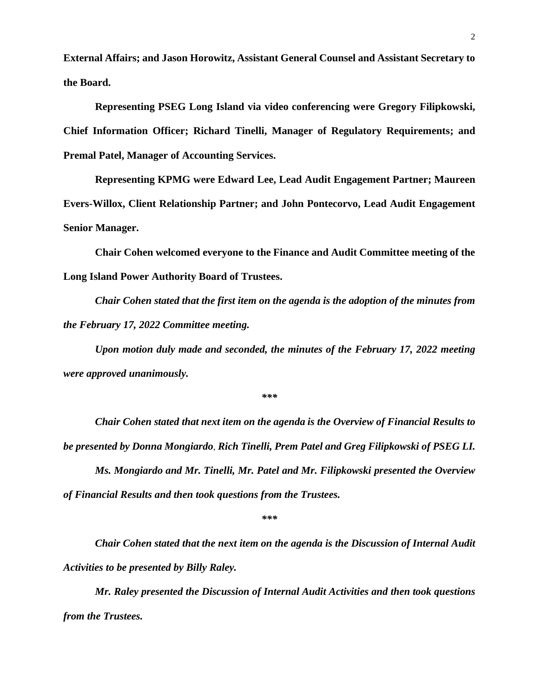**External Affairs; and Jason Horowitz, Assistant General Counsel and Assistant Secretary to the Board.** 

**Representing PSEG Long Island via video conferencing were Gregory Filipkowski, Chief Information Officer; Richard Tinelli, Manager of Regulatory Requirements; and Premal Patel, Manager of Accounting Services.** 

**Representing KPMG were Edward Lee, Lead Audit Engagement Partner; Maureen Evers-Willox, Client Relationship Partner; and John Pontecorvo, Lead Audit Engagement Senior Manager.** 

**Chair Cohen welcomed everyone to the Finance and Audit Committee meeting of the Long Island Power Authority Board of Trustees.** 

*Chair Cohen stated that the first item on the agenda is the adoption of the minutes from the February 17, 2022 Committee meeting.* 

*Upon motion duly made and seconded, the minutes of the February 17, 2022 meeting were approved unanimously.*

*\*\*\**

*Chair Cohen stated that next item on the agenda is the Overview of Financial Results to be presented by Donna Mongiardo*, *Rich Tinelli, Prem Patel and Greg Filipkowski of PSEG LI.*

*Ms. Mongiardo and Mr. Tinelli, Mr. Patel and Mr. Filipkowski presented the Overview of Financial Results and then took questions from the Trustees.*

*\*\*\**

*Chair Cohen stated that the next item on the agenda is the Discussion of Internal Audit Activities to be presented by Billy Raley.* 

*Mr. Raley presented the Discussion of Internal Audit Activities and then took questions from the Trustees.*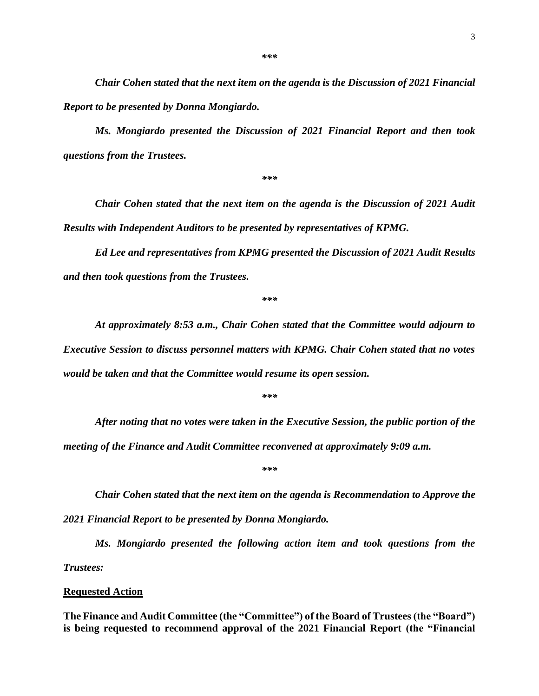*Chair Cohen stated that the next item on the agenda is the Discussion of 2021 Financial Report to be presented by Donna Mongiardo.* 

*Ms. Mongiardo presented the Discussion of 2021 Financial Report and then took questions from the Trustees.*

*\*\*\**

*Chair Cohen stated that the next item on the agenda is the Discussion of 2021 Audit Results with Independent Auditors to be presented by representatives of KPMG.* 

*Ed Lee and representatives from KPMG presented the Discussion of 2021 Audit Results and then took questions from the Trustees.*

*\*\*\**

*At approximately 8:53 a.m., Chair Cohen stated that the Committee would adjourn to Executive Session to discuss personnel matters with KPMG. Chair Cohen stated that no votes would be taken and that the Committee would resume its open session.* 

*\*\*\**

*After noting that no votes were taken in the Executive Session, the public portion of the meeting of the Finance and Audit Committee reconvened at approximately 9:09 a.m.* 

*\*\*\**

*Chair Cohen stated that the next item on the agenda is Recommendation to Approve the 2021 Financial Report to be presented by Donna Mongiardo.* 

*Ms. Mongiardo presented the following action item and took questions from the Trustees:* 

#### **Requested Action**

**The Finance and Audit Committee (the "Committee") of the Board of Trustees (the "Board") is being requested to recommend approval of the 2021 Financial Report (the "Financial**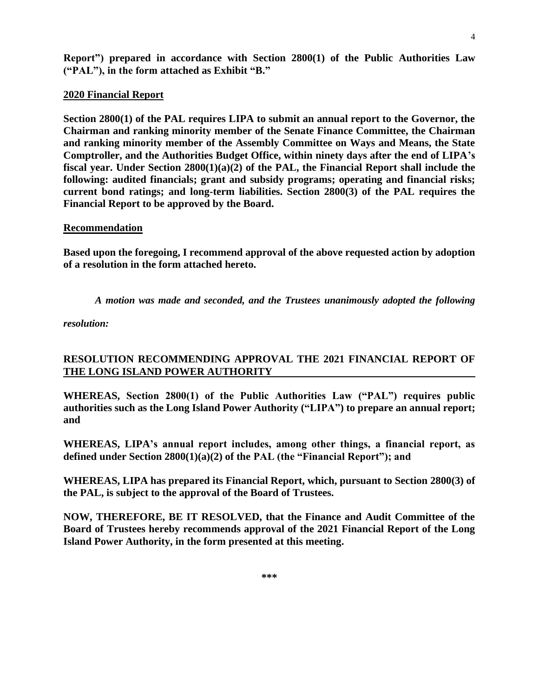**Report") prepared in accordance with Section 2800(1) of the Public Authorities Law ("PAL"), in the form attached as Exhibit "B."**

## **2020 Financial Report**

**Section 2800(1) of the PAL requires LIPA to submit an annual report to the Governor, the Chairman and ranking minority member of the Senate Finance Committee, the Chairman and ranking minority member of the Assembly Committee on Ways and Means, the State Comptroller, and the Authorities Budget Office, within ninety days after the end of LIPA's fiscal year. Under Section 2800(1)(a)(2) of the PAL, the Financial Report shall include the following: audited financials; grant and subsidy programs; operating and financial risks; current bond ratings; and long-term liabilities. Section 2800(3) of the PAL requires the Financial Report to be approved by the Board.**

## **Recommendation**

**Based upon the foregoing, I recommend approval of the above requested action by adoption of a resolution in the form attached hereto.**

*A motion was made and seconded, and the Trustees unanimously adopted the following* 

*resolution:*

# **RESOLUTION RECOMMENDING APPROVAL THE 2021 FINANCIAL REPORT OF THE LONG ISLAND POWER AUTHORITY**

**WHEREAS, Section 2800(1) of the Public Authorities Law ("PAL") requires public authorities such as the Long Island Power Authority ("LIPA") to prepare an annual report; and**

**WHEREAS, LIPA's annual report includes, among other things, a financial report, as defined under Section 2800(1)(a)(2) of the PAL (the "Financial Report"); and**

**WHEREAS, LIPA has prepared its Financial Report, which, pursuant to Section 2800(3) of the PAL, is subject to the approval of the Board of Trustees.**

**NOW, THEREFORE, BE IT RESOLVED, that the Finance and Audit Committee of the Board of Trustees hereby recommends approval of the 2021 Financial Report of the Long Island Power Authority, in the form presented at this meeting.**

4

**\*\*\***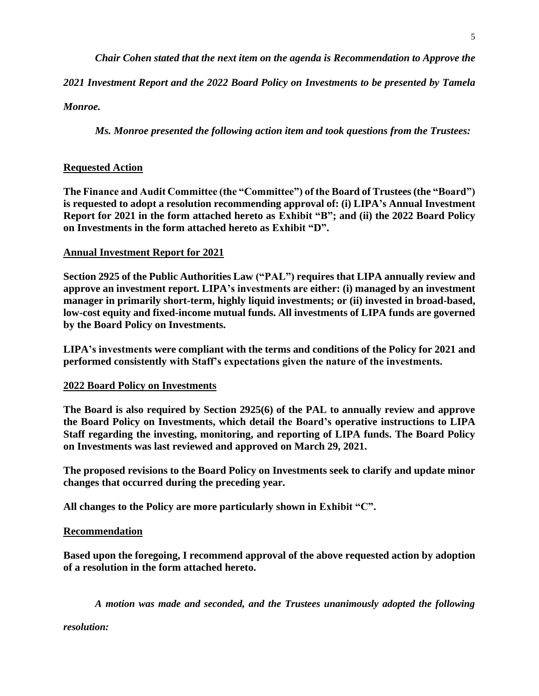*Chair Cohen stated that the next item on the agenda is Recommendation to Approve the* 

*2021 Investment Report and the 2022 Board Policy on Investments to be presented by Tamela* 

*Monroe.* 

*Ms. Monroe presented the following action item and took questions from the Trustees:*

## **Requested Action**

**The Finance and Audit Committee (the "Committee") of the Board of Trustees (the "Board") is requested to adopt a resolution recommending approval of: (i) LIPA's Annual Investment Report for 2021 in the form attached hereto as Exhibit "B"; and (ii) the 2022 Board Policy on Investments in the form attached hereto as Exhibit "D".**

## **Annual Investment Report for 2021**

**Section 2925 of the Public Authorities Law ("PAL") requires that LIPA annually review and approve an investment report. LIPA's investments are either: (i) managed by an investment manager in primarily short-term, highly liquid investments; or (ii) invested in broad-based, low-cost equity and fixed-income mutual funds. All investments of LIPA funds are governed by the Board Policy on Investments.**

**LIPA's investments were compliant with the terms and conditions of the Policy for 2021 and performed consistently with Staff's expectations given the nature of the investments.**

## **2022 Board Policy on Investments**

**The Board is also required by Section 2925(6) of the PAL to annually review and approve the Board Policy on Investments, which detail the Board's operative instructions to LIPA Staff regarding the investing, monitoring, and reporting of LIPA funds. The Board Policy on Investments was last reviewed and approved on March 29, 2021.**

**The proposed revisions to the Board Policy on Investments seek to clarify and update minor changes that occurred during the preceding year.**

**All changes to the Policy are more particularly shown in Exhibit "C".**

## **Recommendation**

**Based upon the foregoing, I recommend approval of the above requested action by adoption of a resolution in the form attached hereto.**

*A motion was made and seconded, and the Trustees unanimously adopted the following* 

*resolution:*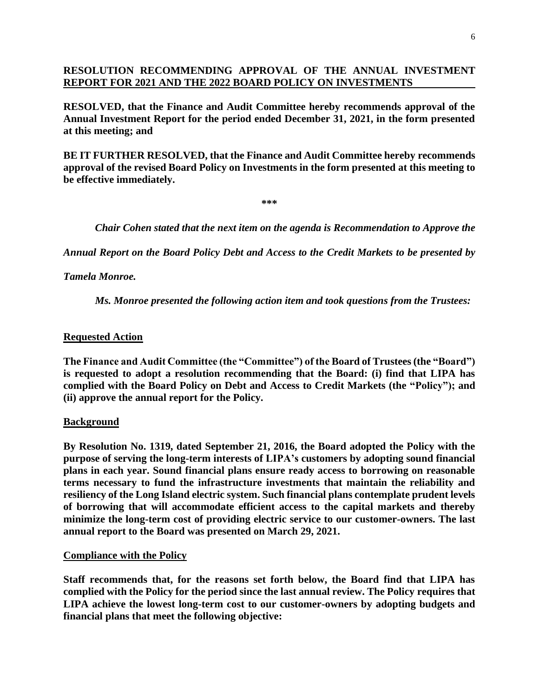## **RESOLUTION RECOMMENDING APPROVAL OF THE ANNUAL INVESTMENT REPORT FOR 2021 AND THE 2022 BOARD POLICY ON INVESTMENTS**

**RESOLVED, that the Finance and Audit Committee hereby recommends approval of the Annual Investment Report for the period ended December 31, 2021, in the form presented at this meeting; and**

**BE IT FURTHER RESOLVED, that the Finance and Audit Committee hereby recommends approval of the revised Board Policy on Investments in the form presented at this meeting to be effective immediately.**

**\*\*\***

*Chair Cohen stated that the next item on the agenda is Recommendation to Approve the* 

*Annual Report on the Board Policy Debt and Access to the Credit Markets to be presented by* 

*Tamela Monroe.* 

*Ms. Monroe presented the following action item and took questions from the Trustees:*

## **Requested Action**

**The Finance and Audit Committee (the "Committee") of the Board of Trustees (the "Board") is requested to adopt a resolution recommending that the Board: (i) find that LIPA has complied with the Board Policy on Debt and Access to Credit Markets (the "Policy"); and (ii) approve the annual report for the Policy.**

## **Background**

**By Resolution No. 1319, dated September 21, 2016, the Board adopted the Policy with the purpose of serving the long-term interests of LIPA's customers by adopting sound financial plans in each year. Sound financial plans ensure ready access to borrowing on reasonable terms necessary to fund the infrastructure investments that maintain the reliability and resiliency of the Long Island electric system. Such financial plans contemplate prudent levels of borrowing that will accommodate efficient access to the capital markets and thereby minimize the long-term cost of providing electric service to our customer-owners. The last annual report to the Board was presented on March 29, 2021.**

## **Compliance with the Policy**

**Staff recommends that, for the reasons set forth below, the Board find that LIPA has complied with the Policy for the period since the last annual review. The Policy requires that LIPA achieve the lowest long-term cost to our customer-owners by adopting budgets and financial plans that meet the following objective:**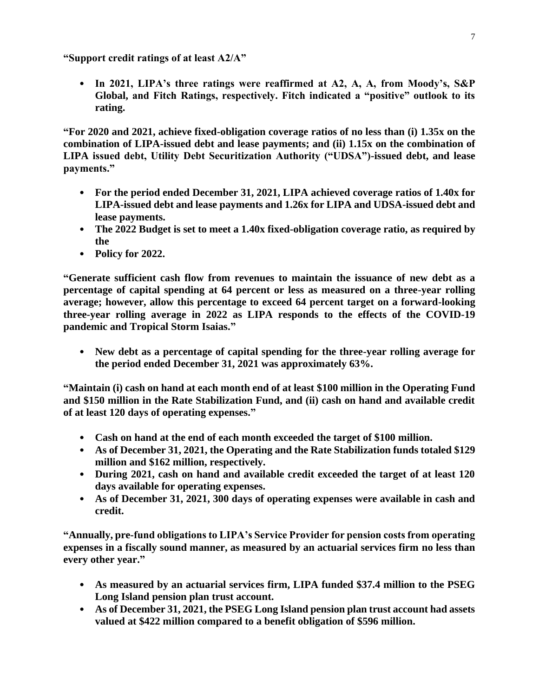**"Support credit ratings of at least A2/A"**

• **In 2021, LIPA's three ratings were reaffirmed at A2, A, A, from Moody's, S&P Global, and Fitch Ratings, respectively. Fitch indicated a "positive" outlook to its rating.**

**"For 2020 and 2021, achieve fixed-obligation coverage ratios of no less than (i) 1.35x on the combination of LIPA-issued debt and lease payments; and (ii) 1.15x on the combination of LIPA issued debt, Utility Debt Securitization Authority ("UDSA")-issued debt, and lease payments."**

- **For the period ended December 31, 2021, LIPA achieved coverage ratios of 1.40x for LIPA-issued debt and lease payments and 1.26x for LIPA and UDSA-issued debt and lease payments.**
- **The 2022 Budget is set to meet a 1.40x fixed-obligation coverage ratio, as required by the**
- **Policy for 2022.**

**"Generate sufficient cash flow from revenues to maintain the issuance of new debt as a percentage of capital spending at 64 percent or less as measured on a three-year rolling average; however, allow this percentage to exceed 64 percent target on a forward-looking three-year rolling average in 2022 as LIPA responds to the effects of the COVID-19 pandemic and Tropical Storm Isaias."**

• **New debt as a percentage of capital spending for the three-year rolling average for the period ended December 31, 2021 was approximately 63%.**

**"Maintain (i) cash on hand at each month end of at least \$100 million in the Operating Fund and \$150 million in the Rate Stabilization Fund, and (ii) cash on hand and available credit of at least 120 days of operating expenses."**

- **Cash on hand at the end of each month exceeded the target of \$100 million.**
- **As of December 31, 2021, the Operating and the Rate Stabilization funds totaled \$129 million and \$162 million, respectively.**
- **During 2021, cash on hand and available credit exceeded the target of at least 120 days available for operating expenses.**
- **As of December 31, 2021, 300 days of operating expenses were available in cash and credit.**

**"Annually, pre-fund obligations to LIPA's Service Provider for pension costs from operating expenses in a fiscally sound manner, as measured by an actuarial services firm no less than every other year."**

- **As measured by an actuarial services firm, LIPA funded \$37.4 million to the PSEG Long Island pension plan trust account.**
- **As of December 31, 2021, the PSEG Long Island pension plan trust account had assets valued at \$422 million compared to a benefit obligation of \$596 million.**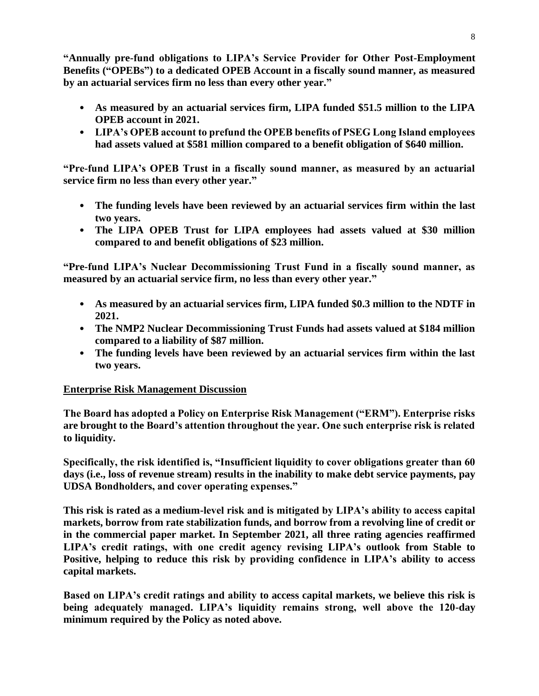**"Annually pre-fund obligations to LIPA's Service Provider for Other Post-Employment Benefits ("OPEBs") to a dedicated OPEB Account in a fiscally sound manner, as measured by an actuarial services firm no less than every other year."**

- **As measured by an actuarial services firm, LIPA funded \$51.5 million to the LIPA OPEB account in 2021.**
- **LIPA's OPEB account to prefund the OPEB benefits of PSEG Long Island employees had assets valued at \$581 million compared to a benefit obligation of \$640 million.**

**"Pre-fund LIPA's OPEB Trust in a fiscally sound manner, as measured by an actuarial service firm no less than every other year."**

- **The funding levels have been reviewed by an actuarial services firm within the last two years.**
- **The LIPA OPEB Trust for LIPA employees had assets valued at \$30 million compared to and benefit obligations of \$23 million.**

**"Pre-fund LIPA's Nuclear Decommissioning Trust Fund in a fiscally sound manner, as measured by an actuarial service firm, no less than every other year."**

- **As measured by an actuarial services firm, LIPA funded \$0.3 million to the NDTF in 2021.**
- **The NMP2 Nuclear Decommissioning Trust Funds had assets valued at \$184 million compared to a liability of \$87 million.**
- **The funding levels have been reviewed by an actuarial services firm within the last two years.**

# **Enterprise Risk Management Discussion**

**The Board has adopted a Policy on Enterprise Risk Management ("ERM"). Enterprise risks are brought to the Board's attention throughout the year. One such enterprise risk is related to liquidity.**

**Specifically, the risk identified is, "Insufficient liquidity to cover obligations greater than 60 days (i.e., loss of revenue stream) results in the inability to make debt service payments, pay UDSA Bondholders, and cover operating expenses."**

**This risk is rated as a medium-level risk and is mitigated by LIPA's ability to access capital markets, borrow from rate stabilization funds, and borrow from a revolving line of credit or in the commercial paper market. In September 2021, all three rating agencies reaffirmed LIPA's credit ratings, with one credit agency revising LIPA's outlook from Stable to Positive, helping to reduce this risk by providing confidence in LIPA's ability to access capital markets.**

**Based on LIPA's credit ratings and ability to access capital markets, we believe this risk is being adequately managed. LIPA's liquidity remains strong, well above the 120-day minimum required by the Policy as noted above.**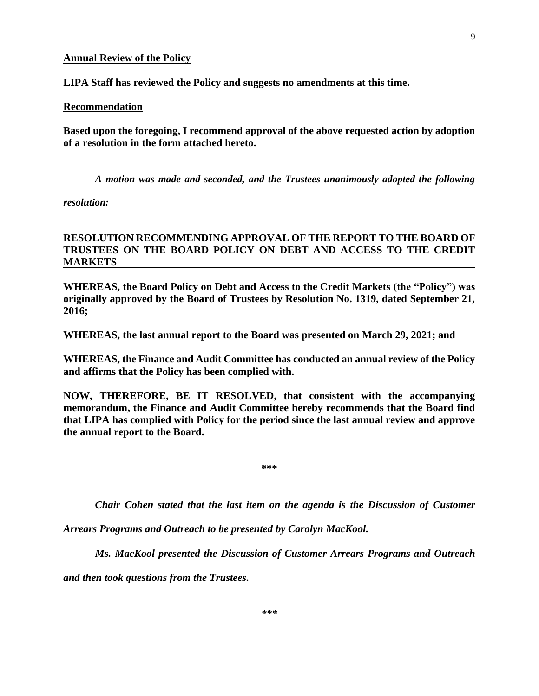#### **Annual Review of the Policy**

**LIPA Staff has reviewed the Policy and suggests no amendments at this time.**

#### **Recommendation**

**Based upon the foregoing, I recommend approval of the above requested action by adoption of a resolution in the form attached hereto.**

*A motion was made and seconded, and the Trustees unanimously adopted the following* 

*resolution:*

## **RESOLUTION RECOMMENDING APPROVAL OF THE REPORT TO THE BOARD OF TRUSTEES ON THE BOARD POLICY ON DEBT AND ACCESS TO THE CREDIT MARKETS**

**WHEREAS, the Board Policy on Debt and Access to the Credit Markets (the "Policy") was originally approved by the Board of Trustees by Resolution No. 1319, dated September 21, 2016;**

**WHEREAS, the last annual report to the Board was presented on March 29, 2021; and**

**WHEREAS, the Finance and Audit Committee has conducted an annual review of the Policy and affirms that the Policy has been complied with.**

**NOW, THEREFORE, BE IT RESOLVED, that consistent with the accompanying memorandum, the Finance and Audit Committee hereby recommends that the Board find that LIPA has complied with Policy for the period since the last annual review and approve the annual report to the Board.**

**\*\*\***

*Chair Cohen stated that the last item on the agenda is the Discussion of Customer* 

*Arrears Programs and Outreach to be presented by Carolyn MacKool.* 

*Ms. MacKool presented the Discussion of Customer Arrears Programs and Outreach*

*and then took questions from the Trustees.*

9